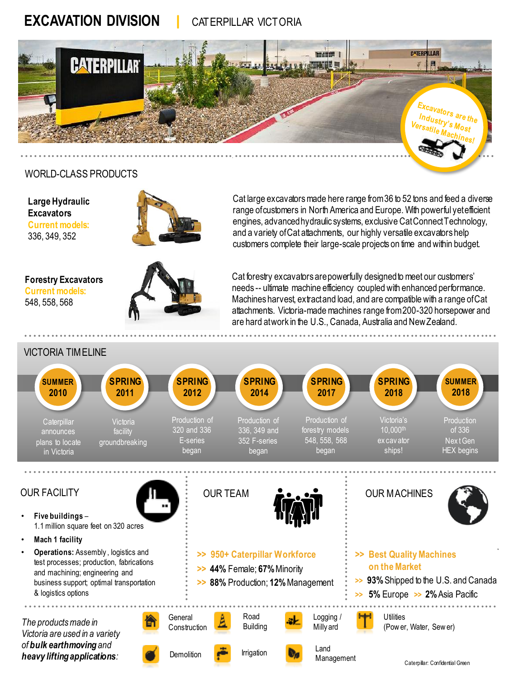# **EXCAVATION DIVISION |** CATERPILLAR VICTORIA



### WORLD-CLASS PRODUCTS

**Large Hydraulic Excavators Current models:**  336, 349, 352



Cat large excavators made here range from 36 to 52 tons and feed a diverse range of customers in North America and Europe. With powerful yet efficient engines, advanced hydraulic systems, exclusive Cat Connect Technology, and a variety of Cat attachments, our highly versatile excavators help customers complete their large-scale projects on time and within budget.

**Forestry Excavators Current models:**  548, 558, 568



Cat forestry excavators are powerfully designed to meet our customers' needs -- ultimate machine efficiency coupled with enhanced performance. Machines harvest, extract and load, and are compatible with a range of Cat attachments. Victoria-made machines range from 200-320 horsepower and are hard at work in the U.S., Canada, Australia and New Zealand.